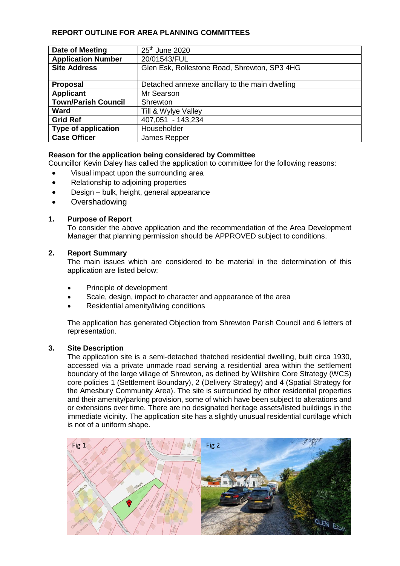# **REPORT OUTLINE FOR AREA PLANNING COMMITTEES**

| Date of Meeting            | $25th$ June 2020                               |
|----------------------------|------------------------------------------------|
| <b>Application Number</b>  | 20/01543/FUL                                   |
| <b>Site Address</b>        | Glen Esk, Rollestone Road, Shrewton, SP3 4HG   |
|                            |                                                |
| <b>Proposal</b>            | Detached annexe ancillary to the main dwelling |
| <b>Applicant</b>           | Mr Searson                                     |
| <b>Town/Parish Council</b> | Shrewton                                       |
| Ward                       | Till & Wylye Valley                            |
| <b>Grid Ref</b>            | 407,051 - 143,234                              |
| <b>Type of application</b> | Householder                                    |
| <b>Case Officer</b>        | James Repper                                   |

## **Reason for the application being considered by Committee**

Councillor Kevin Daley has called the application to committee for the following reasons:

- Visual impact upon the surrounding area
- Relationship to adjoining properties
- Design bulk, height, general appearance
- **Overshadowing**

### **1. Purpose of Report**

To consider the above application and the recommendation of the Area Development Manager that planning permission should be APPROVED subject to conditions.

### **2. Report Summary**

The main issues which are considered to be material in the determination of this application are listed below:

- Principle of development
- Scale, design, impact to character and appearance of the area
- Residential amenity/living conditions

The application has generated Objection from Shrewton Parish Council and 6 letters of representation.

#### **3. Site Description**

The application site is a semi-detached thatched residential dwelling, built circa 1930, accessed via a private unmade road serving a residential area within the settlement boundary of the large village of Shrewton, as defined by Wiltshire Core Strategy (WCS) core policies 1 (Settlement Boundary), 2 (Delivery Strategy) and 4 (Spatial Strategy for the Amesbury Community Area). The site is surrounded by other residential properties and their amenity/parking provision, some of which have been subject to alterations and or extensions over time. There are no designated heritage assets/listed buildings in the immediate vicinity. The application site has a slightly unusual residential curtilage which is not of a uniform shape.

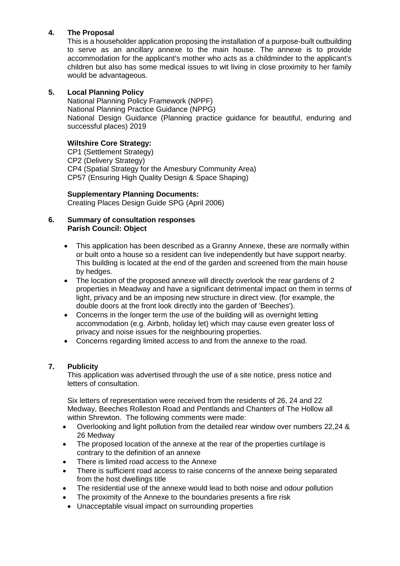# **4. The Proposal**

This is a householder application proposing the installation of a purpose-built outbuilding to serve as an ancillary annexe to the main house. The annexe is to provide accommodation for the applicant's mother who acts as a childminder to the applicant's children but also has some medical issues to wit living in close proximity to her family would be advantageous.

## **5. Local Planning Policy**

National Planning Policy Framework (NPPF) National Planning Practice Guidance (NPPG) National Design Guidance (Planning practice guidance for beautiful, enduring and successful places) 2019

## **Wiltshire Core Strategy:**

CP1 (Settlement Strategy) CP2 (Delivery Strategy) CP4 (Spatial Strategy for the Amesbury Community Area) CP57 (Ensuring High Quality Design & Space Shaping)

**Supplementary Planning Documents:**

Creating Places Design Guide SPG (April 2006)

### **6. Summary of consultation responses Parish Council: Object**

- This application has been described as a Granny Annexe, these are normally within or built onto a house so a resident can live independently but have support nearby. This building is located at the end of the garden and screened from the main house by hedges.
- The location of the proposed annexe will directly overlook the rear gardens of 2 properties in Meadway and have a significant detrimental impact on them in terms of light, privacy and be an imposing new structure in direct view. (for example, the double doors at the front look directly into the garden of 'Beeches').
- Concerns in the longer term the use of the building will as overnight letting accommodation (e.g. Airbnb, holiday let) which may cause even greater loss of privacy and noise issues for the neighbouring properties.
- Concerns regarding limited access to and from the annexe to the road.

# **7. Publicity**

This application was advertised through the use of a site notice, press notice and letters of consultation.

Six letters of representation were received from the residents of 26, 24 and 22 Medway, Beeches Rolleston Road and Pentlands and Chanters of The Hollow all within Shrewton. The following comments were made:

- Overlooking and light pollution from the detailed rear window over numbers 22,24 & 26 Medway
- The proposed location of the annexe at the rear of the properties curtilage is contrary to the definition of an annexe
- There is limited road access to the Annexe
- There is sufficient road access to raise concerns of the annexe being separated from the host dwellings title
- The residential use of the annexe would lead to both noise and odour pollution
- The proximity of the Annexe to the boundaries presents a fire risk
- Unacceptable visual impact on surrounding properties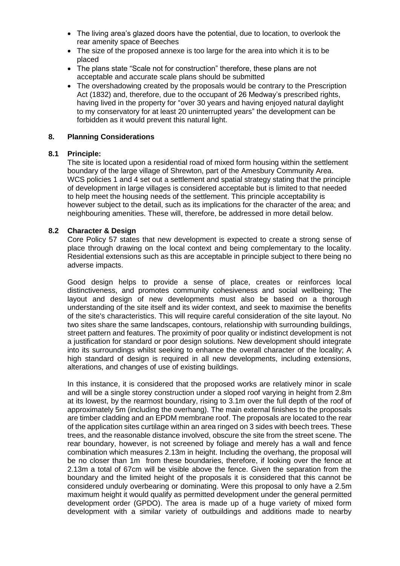- The living area's glazed doors have the potential, due to location, to overlook the rear amenity space of Beeches
- The size of the proposed annexe is too large for the area into which it is to be placed
- The plans state "Scale not for construction" therefore, these plans are not acceptable and accurate scale plans should be submitted
- The overshadowing created by the proposals would be contrary to the Prescription Act (1832) and, therefore, due to the occupant of 26 Medway's prescribed rights, having lived in the property for "over 30 years and having enjoyed natural daylight to my conservatory for at least 20 uninterrupted years" the development can be forbidden as it would prevent this natural light.

### **8. Planning Considerations**

### **8.1 Principle:**

The site is located upon a residential road of mixed form housing within the settlement boundary of the large village of Shrewton, part of the Amesbury Community Area. WCS policies 1 and 4 set out a settlement and spatial strategy stating that the principle of development in large villages is considered acceptable but is limited to that needed to help meet the housing needs of the settlement. This principle acceptability is however subject to the detail, such as its implications for the character of the area; and neighbouring amenities. These will, therefore, be addressed in more detail below.

### **8.2 Character & Design**

Core Policy 57 states that new development is expected to create a strong sense of place through drawing on the local context and being complementary to the locality. Residential extensions such as this are acceptable in principle subject to there being no adverse impacts.

Good design helps to provide a sense of place, creates or reinforces local distinctiveness, and promotes community cohesiveness and social wellbeing; The layout and design of new developments must also be based on a thorough understanding of the site itself and its wider context, and seek to maximise the benefits of the site's characteristics. This will require careful consideration of the site layout. No two sites share the same landscapes, contours, relationship with surrounding buildings, street pattern and features. The proximity of poor quality or indistinct development is not a justification for standard or poor design solutions. New development should integrate into its surroundings whilst seeking to enhance the overall character of the locality; A high standard of design is required in all new developments, including extensions, alterations, and changes of use of existing buildings.

In this instance, it is considered that the proposed works are relatively minor in scale and will be a single storey construction under a sloped roof varying in height from 2.8m at its lowest, by the rearmost boundary, rising to 3.1m over the full depth of the roof of approximately 5m (including the overhang). The main external finishes to the proposals are timber cladding and an EPDM membrane roof. The proposals are located to the rear of the application sites curtilage within an area ringed on 3 sides with beech trees. These trees, and the reasonable distance involved, obscure the site from the street scene. The rear boundary, however, is not screened by foliage and merely has a wall and fence combination which measures 2.13m in height. Including the overhang, the proposal will be no closer than 1m from these boundaries, therefore, if looking over the fence at 2.13m a total of 67cm will be visible above the fence. Given the separation from the boundary and the limited height of the proposals it is considered that this cannot be considered unduly overbearing or dominating. Were this proposal to only have a 2.5m maximum height it would qualify as permitted development under the general permitted development order (GPDO). The area is made up of a huge variety of mixed form development with a similar variety of outbuildings and additions made to nearby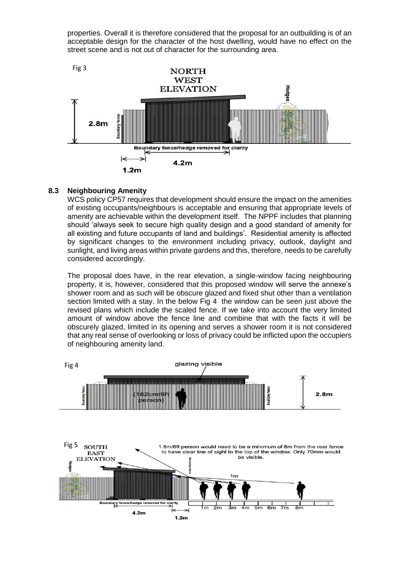properties. Overall it is therefore considered that the proposal for an outbuilding is of an acceptable design for the character of the host dwelling, would have no effect on the street scene and is not out of character for the surrounding area.



### **8.3 Neighbouring Amenity**

WCS policy CP57 requires that development should ensure the impact on the amenities of existing occupants/neighbours is acceptable and ensuring that appropriate levels of amenity are achievable within the development itself. The NPPF includes that planning should 'always seek to secure high quality design and a good standard of amenity for all existing and future occupants of land and buildings'. Residential amenity is affected by significant changes to the environment including privacy, outlook, daylight and sunlight, and living areas within private gardens and this, therefore, needs to be carefully considered accordingly.

The proposal does have, in the rear elevation, a single-window facing neighbouring property, it is, however, considered that this proposed window will serve the annexe's shower room and as such will be obscure glazed and fixed shut other than a ventilation section limited with a stay. In the below Fig 4 the window can be seen just above the revised plans which include the scaled fence. If we take into account the very limited amount of window above the fence line and combine that with the facts it will be obscurely glazed, limited in its opening and serves a shower room it is not considered that any real sense of overlooking or loss of privacy could be inflicted upon the occupiers of neighbouring amenity land.

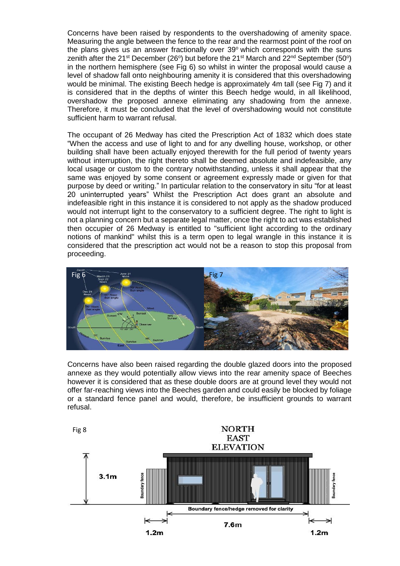Concerns have been raised by respondents to the overshadowing of amenity space. Measuring the angle between the fence to the rear and the rearmost point of the roof on the plans gives us an answer fractionally over  $39^\circ$  which corresponds with the suns zenith after the 21<sup>st</sup> December (26°) but before the 21<sup>st</sup> March and 22<sup>nd</sup> September (50°) in the northern hemisphere (see Fig 6) so whilst in winter the proposal would cause a level of shadow fall onto neighbouring amenity it is considered that this overshadowing would be minimal. The existing Beech hedge is approximately 4m tall (see Fig 7) and it is considered that in the depths of winter this Beech hedge would, in all likelihood, overshadow the proposed annexe eliminating any shadowing from the annexe. Therefore, it must be concluded that the level of overshadowing would not constitute sufficient harm to warrant refusal.

The occupant of 26 Medway has cited the Prescription Act of 1832 which does state "When the access and use of light to and for any dwelling house, workshop, or other building shall have been actually enjoyed therewith for the full period of twenty years without interruption, the right thereto shall be deemed absolute and indefeasible, any local usage or custom to the contrary notwithstanding, unless it shall appear that the same was enjoyed by some consent or agreement expressly made or given for that purpose by deed or writing." In particular relation to the conservatory in situ "for at least 20 uninterrupted years" Whilst the Prescription Act does grant an absolute and indefeasible right in this instance it is considered to not apply as the shadow produced would not interrupt light to the conservatory to a sufficient degree. The right to light is not a planning concern but a separate legal matter, once the right to act was established then occupier of 26 Medway is entitled to "sufficient light according to the ordinary notions of mankind" whilst this is a term open to legal wrangle in this instance it is considered that the prescription act would not be a reason to stop this proposal from proceeding.



Concerns have also been raised regarding the double glazed doors into the proposed annexe as they would potentially allow views into the rear amenity space of Beeches however it is considered that as these double doors are at ground level they would not offer far-reaching views into the Beeches garden and could easily be blocked by foliage or a standard fence panel and would, therefore, be insufficient grounds to warrant refusal.

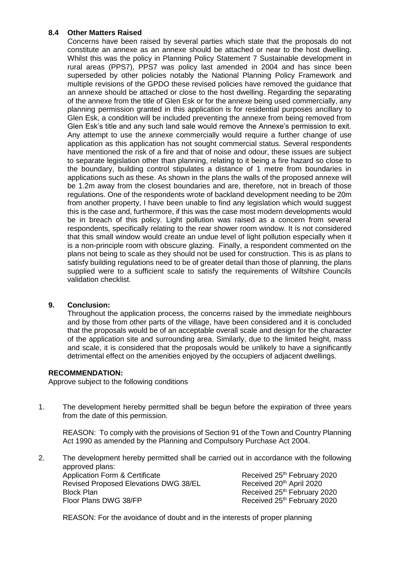## **8.4 Other Matters Raised**

Concerns have been raised by several parties which state that the proposals do not constitute an annexe as an annexe should be attached or near to the host dwelling. Whilst this was the policy in Planning Policy Statement 7 Sustainable development in rural areas (PPS7), PPS7 was policy last amended in 2004 and has since been superseded by other policies notably the National Planning Policy Framework and multiple revisions of the GPDO these revised policies have removed the guidance that an annexe should be attached or close to the host dwelling. Regarding the separating of the annexe from the title of Glen Esk or for the annexe being used commercially, any planning permission granted in this application is for residential purposes ancillary to Glen Esk, a condition will be included preventing the annexe from being removed from Glen Esk's title and any such land sale would remove the Annexe's permission to exit. Any attempt to use the annexe commercially would require a further change of use application as this application has not sought commercial status. Several respondents have mentioned the risk of a fire and that of noise and odour, these issues are subject to separate legislation other than planning, relating to it being a fire hazard so close to the boundary, building control stipulates a distance of 1 metre from boundaries in applications such as these. As shown in the plans the walls of the proposed annexe will be 1.2m away from the closest boundaries and are, therefore, not in breach of those regulations. One of the respondents wrote of backland development needing to be 20m from another property, I have been unable to find any legislation which would suggest this is the case and, furthermore, if this was the case most modern developments would be in breach of this policy. Light pollution was raised as a concern from several respondents, specifically relating to the rear shower room window. It is not considered that this small window would create an undue level of light pollution especially when it is a non-principle room with obscure glazing. Finally, a respondent commented on the plans not being to scale as they should not be used for construction. This is as plans to satisfy building regulations need to be of greater detail than those of planning, the plans supplied were to a sufficient scale to satisfy the requirements of Wiltshire Councils validation checklist.

## **9. Conclusion:**

Throughout the application process, the concerns raised by the immediate neighbours and by those from other parts of the village, have been considered and it is concluded that the proposals would be of an acceptable overall scale and design for the character of the application site and surrounding area. Similarly, due to the limited height, mass and scale, it is considered that the proposals would be unlikely to have a significantly detrimental effect on the amenities enjoyed by the occupiers of adjacent dwellings.

## **RECOMMENDATION:**

Approve subject to the following conditions

1. The development hereby permitted shall be begun before the expiration of three years from the date of this permission.

REASON: To comply with the provisions of Section 91 of the Town and Country Planning Act 1990 as amended by the Planning and Compulsory Purchase Act 2004.

2. The development hereby permitted shall be carried out in accordance with the following approved plans: Application Form & Certificate **Received 25<sup>th</sup>** February 2020 Revised Proposed Elevations DWG 38/EL Received 20<sup>th</sup> April 2020 Block Plan **Received 25th February 2020** Floor Plans DWG 38/FP **Received 25th February 2020** 

REASON: For the avoidance of doubt and in the interests of proper planning